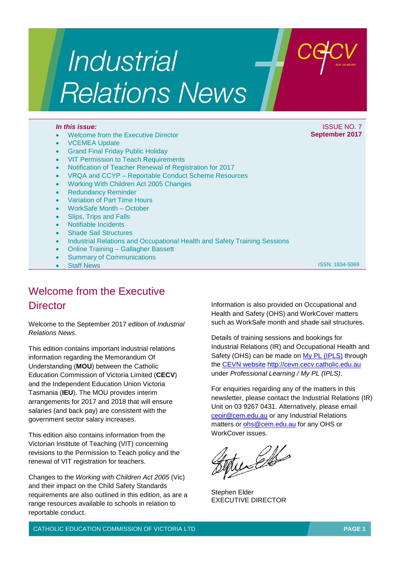# **Industrial Relations News**

- Welcome from the Executive Director
- **VCEMEA Update**
- **Grand Final Friday Public Holiday**
- VIT Permission to Teach Requirements
- Notification of Teacher Renewal of Registration for 2017
- VRQA and CCYP Reportable Conduct Scheme Resources
- Working With Children Act 2005 Changes
- Redundancy Reminder
- Variation of Part Time Hours
- WorkSafe Month October
- Slips, Trips and Falls
- Notifiable Incidents
- Shade Sail Structures
- Industrial Relations and Occupational Health and Safety Training Sessions
- Online Training Gallagher Bassett
- **Summary of Communications**
- **Staff News**

ISSN: 1834-5069

## Welcome from the Executive **Director**

Welcome to the September 2017 edition of *Industrial Relations News*.

This edition contains important industrial relations information regarding the Memorandum Of Understanding (**MOU**) between the Catholic Education Commission of Victoria Limited (**CECV**) and the Independent Education Union Victoria Tasmania (**IEU**). The MOU provides interim arrangements for 2017 and 2018 that will ensure salaries (and back pay) are consistent with the government sector salary increases.

This edition also contains information from the Victorian Institute of Teaching (VIT) concerning revisions to the Permission to Teach policy and the renewal of VIT registration for teachers.

Changes to the *Working with Children Act 2005* (Vic) and their impact on the Child Safety Standards requirements are also outlined in this edition, as are a range resources available to schools in relation to reportable conduct.

Information is also provided on Occupational and Health and Safety (OHS) and WorkCover matters such as WorkSafe month and shade sail structures.

Details of training sessions and bookings for Industrial Relations (IR) and Occupational Health and Safety (OHS) can be made on [My PL \(IPLS\)](http://cevn.cecv.catholic.edu.au/ProfessionalLearning.aspx?id=7160) through the [CEVN website](http://cevn.cecv.catholic.edu.au/cevnlogin.aspx) [http://cevn.cecv.catholic.edu.au](http://cevn.cecv.catholic.edu.au/) under *Professional Learning / My PL (IPLS)*.

For enquiries regarding any of the matters in this newsletter, please contact the Industrial Relations (IR) Unit on 03 9267 0431. Alternatively, please email [ceoir@cem.edu.au](mailto:ceoir@cem.edu.au) or any Industrial Relations matters or [ohs@cem.edu.au](mailto:ohs@cem.edu.au) for any OHS or WorkCover issues.

tudello

Stephen Elder EXECUTIVE DIRECTOR

CATHOLIC EDUCATION COMMISSION OF VICTORIA LTD **PAGE 1**

#### *In this issue:* **ISSUE NO. 7 And The International Activities in the ISSUE NO. 7 And The ISSUE NO. 7 And The ISSUE NO. 7 And The International Activities in the ISSUE NO. 7 And The International Activities in the Internat September 2017**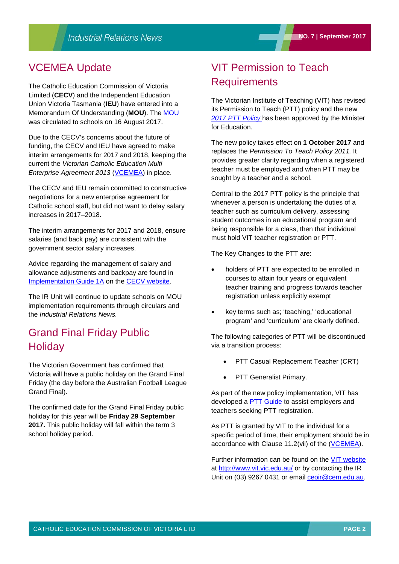## VCEMEA Update

The Catholic Education Commission of Victoria Limited (**CECV**) and the Independent Education Union Victoria Tasmania (**IEU**) have entered into a Memorandum Of Understanding (**MOU**). Th[e MOU](http://www.cecv.catholic.edu.au/Industrial-Relations/EB/Memorandum-of-Understanding) was circulated to schools on 16 August 2017.

Due to the CECV's concerns about the future of funding, the CECV and IEU have agreed to make interim arrangements for 2017 and 2018, keeping the current the *Victorian Catholic Education Multi Enterprise Agreement 2013* [\(VCEMEA\)](http://www.cecv.catholic.edu.au/getmedia/e728ccbb-dac1-4822-9607-7c5cb8abdae9/VCEMEA_2013.aspx) in place.

The CECV and IEU remain committed to constructive negotiations for a new enterprise agreement for Catholic school staff, but did not want to delay salary increases in 2017–2018.

The interim arrangements for 2017 and 2018, ensure salaries (and back pay) are consistent with the government sector salary increases.

Advice regarding the management of salary and allowance adjustments and backpay are found in [Implementation Guide 1A](http://www.cecv.catholic.edu.au/getattachment/Industrial-Relations/Training-Resources/Implementation-Guides/Content/2013-Agreement-Implementation-Guides/Implementation-Guides/Implementation_Guide_-1A.pdf.aspx) on the [CECV website.](http://www.cecv.catholic.edu.au/Industrial-Relations)

The IR Unit will continue to update schools on MOU implementation requirements through circulars and the *Industrial Relations News.*

## Grand Final Friday Public **Holiday**

The Victorian Government has confirmed that Victoria will have a public holiday on the Grand Final Friday (the day before the Australian Football League Grand Final).

The confirmed date for the Grand Final Friday public holiday for this year will be **Friday 29 September 2017.** This public holiday will fall within the term 3 school holiday period.

## VIT Permission to Teach **Requirements**

The Victorian Institute of Teaching (VIT) has revised its Permission to Teach (PTT) policy and the new *[2017 PTT Policy](http://www.vit.vic.edu.au/__data/assets/pdf_file/0011/44894/Permission-to-Teach-PTT-Policy.pdf)* has been approved by the Minister for Education.

The new policy takes effect on **1 October 2017** and replaces the *Permission To Teach Policy 2011.* It provides greater clarity regarding when a registered teacher must be employed and when PTT may be sought by a teacher and a school.

Central to the 2017 PTT policy is the principle that whenever a person is undertaking the duties of a teacher such as curriculum delivery, assessing student outcomes in an educational program and being responsible for a class, then that individual must hold VIT teacher registration or PTT.

The Key Changes to the PTT are:

- holders of PTT are expected to be enrolled in courses to attain four years or equivalent teacher training and progress towards teacher registration unless explicitly exempt
- key terms such as; 'teaching,' 'educational program' and 'curriculum' are clearly defined.

The following categories of PTT will be discontinued via a transition process:

- PTT Casual Replacement Teacher (CRT)
- PTT Generalist Primary.

As part of the new policy implementation, VIT has developed a [PTT Guide](http://www.vit.vic.edu.au/registering-as-a-teacher/how-do-i-register-as-a-teacher/applying-for-permission-to-teach-ptt) to assist employers and teachers seeking PTT registration.

As PTT is granted by VIT to the individual for a specific period of time, their employment should be in accordance with Clause 11.2(vii) of the [\(VCEMEA\)](http://www.cecv.catholic.edu.au/getmedia/e728ccbb-dac1-4822-9607-7c5cb8abdae9/VCEMEA_2013.aspx).

Further information can be found on the [VIT website](http://www.vit.vic.edu.au/) at<http://www.vit.vic.edu.au/> or by contacting the IR Unit on (03) 9267 0431 or email [ceoir@cem.edu.au.](file://shfilesvr01/CEOMData/Industrial%20Relations/IR%20Newsletters/2017/May/ceoir@cem.edu.au)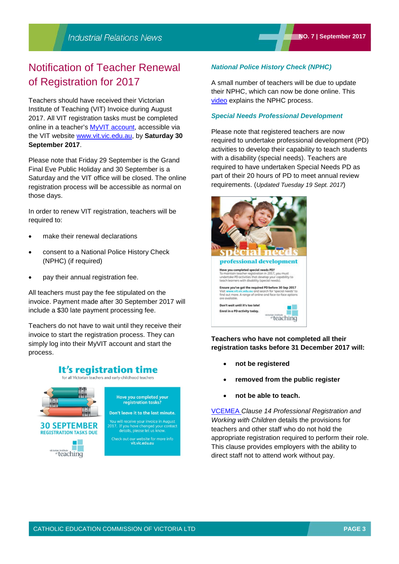## Notification of Teacher Renewal of Registration for 2017

Teachers should have received their Victorian Institute of Teaching (VIT) Invoice during August 2017. All VIT registration tasks must be completed online in a teacher's [MyVIT account,](https://my.vit.vic.edu.au/Teachers/Account.aspx/ResetPortalAccount) accessible via the VIT website [www.vit.vic.edu.au,](http://www.vit.vic.edu.au/) by **Saturday 30 September 2017**.

Please note that Friday 29 September is the Grand Final Eve Public Holiday and 30 September is a Saturday and the VIT office will be closed. The online registration process will be accessible as normal on those days.

In order to renew VIT registration, teachers will be required to:

- make their renewal declarations
- consent to a National Police History Check (NPHC) (if required)
- pay their annual registration fee.

All teachers must pay the fee stipulated on the invoice. Payment made after 30 September 2017 will include a \$30 late payment processing fee.

Teachers do not have to wait until they receive their invoice to start the registration process. They can simply log into their MyVIT account and start the process.

## It's registration time

for all Victorian teachers and early-childhood teachers



#### *National Police History Check (NPHC)*

A small number of teachers will be due to update their NPHC, which can now be done online. This [video](https://www.youtube.com/watch?v=KRQ3o04MH-4&feature=youtu.be) explains the NPHC process.

#### *Special Needs Professional Development*

Please note that registered teachers are now required to undertake professional development (PD) activities to develop their capability to teach students with a disability (special needs). Teachers are required to have undertaken Special Needs PD as part of their 20 hours of PD to meet annual review requirements. (*Updated Tuesday 19 Sept. 2017*)



#### **Teachers who have not completed all their registration tasks before 31 December 2017 will:**

- **not be registered**
- **removed from the public register**
- **not be able to teach.**

[VCEMEA](http://www.cecv.catholic.edu.au/getmedia/e728ccbb-dac1-4822-9607-7c5cb8abdae9/VCEMEA_2013.aspx) *Clause 14 Professional Registration and Working with Children* details the provisions for teachers and other staff who do not hold the appropriate registration required to perform their role. This clause provides employers with the ability to direct staff not to attend work without pay.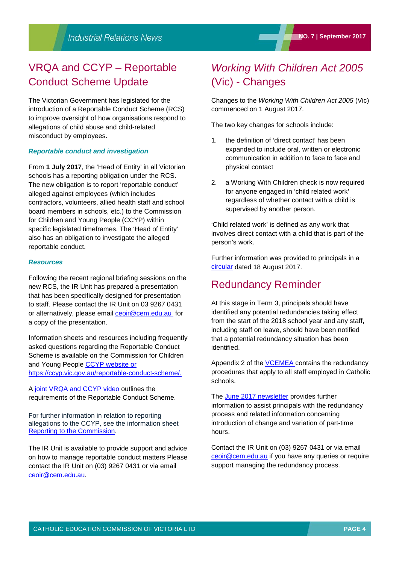## VRQA and CCYP – Reportable Conduct Scheme Update

The Victorian Government has legislated for the introduction of a Reportable Conduct Scheme (RCS) to improve oversight of how organisations respond to allegations of child abuse and child-related misconduct by employees.

#### *Reportable conduct and investigation*

From **1 July 2017**, the 'Head of Entity' in all Victorian schools has a reporting obligation under the RCS. The new obligation is to report 'reportable conduct' alleged against employees (which includes contractors, volunteers, allied health staff and school board members in schools, etc.) to the Commission for Children and Young People (CCYP) within specific legislated timeframes. The 'Head of Entity' also has an obligation to investigate the alleged reportable conduct.

#### *Resources*

Following the recent regional briefing sessions on the new RCS, the IR Unit has prepared a presentation that has been specifically designed for presentation to staff. Please contact the IR Unit on 03 9267 0431 or alternatively, please email [ceoir@cem.edu.au](mailto:ceoir@cem.edu.au) for a copy of the presentation.

Information sheets and resources including frequently asked questions regarding the Reportable Conduct Scheme is available on the Commission for Children and Young People [CCYP website](https://ccyp.vic.gov.au/reportable-conduct-scheme/) or [https://ccyp.vic.gov.au/reportable-conduct-scheme/.](https://ccyp.vic.gov.au/reportable-conduct-scheme/)

A [joint VRQA and CCYP video](http://www.vrqa.vic.gov.au/childsafe/Pages/videos/The%20Reportable%20Conduct%20Scheme%20in%20schools.mp4) outlines the requirements of the Reportable Conduct Scheme.

For further information in relation to reporting allegations to the CCYP, see the information sheet [Reporting to the Commission.](https://ccyp.vic.gov.au/child-safety/resources/reportable-conduct-scheme-information-sheets/)

The IR Unit is available to provide support and advice on how to manage reportable conduct matters Please contact the IR Unit on (03) 9267 0431 or via email [ceoir@cem.edu.au.](file://shfilesvr01/CEOMData/Industrial%20Relations/IR%20Newsletters/2017/May/ceoir@cem.edu.au)

## *Working With Children Act 2005* (Vic) - Changes

Changes to the *Working With Children Act 2005* (Vic) commenced on 1 August 2017.

The two key changes for schools include:

- 1. the definition of 'direct contact' has been expanded to include oral, written or electronic communication in addition to face to face and physical contact
- 2. a Working With Children check is now required for anyone engaged in 'child related work' regardless of whether contact with a child is supervised by another person.

'Child related work' is defined as any work that involves direct contact with a child that is part of the person's work.

Further information was provided to principals in a [circular](http://cevn.cecv.catholic.edu.au/WorkArea/DownloadAsset.aspx?id=8589943658) dated 18 August 2017.

## Redundancy Reminder

At this stage in Term 3, principals should have identified any potential redundancies taking effect from the start of the 2018 school year and any staff, including staff on leave, should have been notified that a potential redundancy situation has been identified.

Appendix 2 of the **VCEMEA** contains the redundancy procedures that apply to all staff employed in Catholic schools.

The [June 2017 newsletter](http://www.cecv.catholic.edu.au/getmedia/9ee3219e-a258-4dd7-acbb-1bf72bca291a/Industrial-Relations-News,-__No-5__,-June-2017.aspx) provides further information to assist principals with the redundancy process and related information concerning introduction of change and variation of part-time hours.

Contact the IR Unit on (03) 9267 0431 or via email [ceoir@cem.edu.au](file://shfilesvr01/CEOMData/Industrial%20Relations/IR%20Newsletters/2017/May/ceoir@cem.edu.au) if you have any queries or require support managing the redundancy process.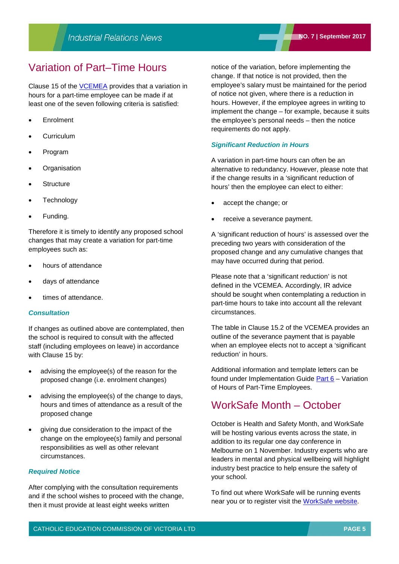## Variation of Part–Time Hours

Clause 15 of the [VCEMEA](http://www.cecv.catholic.edu.au/getmedia/e728ccbb-dac1-4822-9607-7c5cb8abdae9/VCEMEA_2013.aspx) provides that a variation in hours for a part-time employee can be made if at least one of the seven following criteria is satisfied:

- **Enrolment**
- **Curriculum**
- Program
- **Organisation**
- **Structure**
- Technology
- Funding.

Therefore it is timely to identify any proposed school changes that may create a variation for part-time employees such as:

- hours of attendance
- days of attendance
- times of attendance.

#### *Consultation*

If changes as outlined above are contemplated, then the school is required to consult with the affected staff (including employees on leave) in accordance with Clause 15 by:

- advising the employee(s) of the reason for the proposed change (i.e. enrolment changes)
- advising the employee(s) of the change to days, hours and times of attendance as a result of the proposed change
- giving due consideration to the impact of the change on the employee(s) family and personal responsibilities as well as other relevant circumstances.

#### *Required Notice*

After complying with the consultation requirements and if the school wishes to proceed with the change, then it must provide at least eight weeks written

notice of the variation, before implementing the change. If that notice is not provided, then the employee's salary must be maintained for the period of notice not given, where there is a reduction in hours. However, if the employee agrees in writing to implement the change – for example, because it suits the employee's personal needs – then the notice requirements do not apply.

#### *Significant Reduction in Hours*

A variation in part-time hours can often be an alternative to redundancy. However, please note that if the change results in a 'significant reduction of hours' then the employee can elect to either:

- accept the change; or
- receive a severance payment.

A 'significant reduction of hours' is assessed over the preceding two years with consideration of the proposed change and any cumulative changes that may have occurred during that period.

Please note that a 'significant reduction' is not defined in the VCEMEA. Accordingly, IR advice should be sought when contemplating a reduction in part-time hours to take into account all the relevant circumstances.

The table in Clause 15.2 of the VCEMEA provides an outline of the severance payment that is payable when an employee elects not to accept a 'significant reduction' in hours.

Additional information and template letters can be found under Implementation Guide [Part 6](http://www.cecv.catholic.edu.au/getmedia/e0e8839b-696c-468f-a74e-c8efe524adc6/Part-6.aspx) – Variation of Hours of Part-Time Employees.

## WorkSafe Month – October

October is Health and Safety Month, and WorkSafe will be hosting various events across the state, in addition to its regular one day conference in Melbourne on 1 November. Industry experts who are leaders in mental and physical wellbeing will highlight industry best practice to help ensure the safety of your school.

To find out where WorkSafe will be running events near you or to register visit the [WorkSafe website.](https://www.worksafe.vic.gov.au/worksafemonth)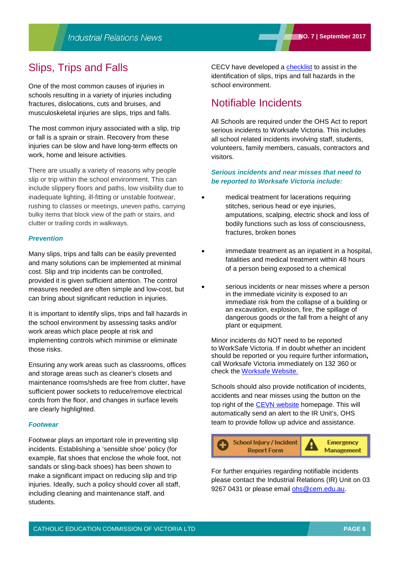## Slips, Trips and Falls

One of the most common causes of injuries in schools resulting in a variety of injuries including fractures, dislocations, cuts and bruises, and musculoskeletal injuries are slips, trips and falls.

The most common injury associated with a slip, trip or fall is a sprain or strain. Recovery from these injuries can be slow and have long-term effects on work, home and leisure activities.

There are usually a variety of reasons why people slip or trip within the school environment. This can include slippery floors and paths, low visibility due to inadequate lighting, ill-fitting or unstable footwear, rushing to classes or meetings, uneven paths, carrying bulky items that block view of the path or stairs, and clutter or trailing cords in walkways.

#### *Prevention*

Many slips, trips and falls can be easily prevented and many solutions can be implemented at minimal cost. Slip and trip incidents can be controlled, provided it is given sufficient attention. The control measures needed are often simple and low-cost, but can bring about significant reduction in injuries.

It is important to identify slips, trips and fall hazards in the school environment by assessing tasks and/or work areas which place people at risk and implementing controls which minimise or eliminate those risks.

Ensuring any work areas such as classrooms, offices and storage areas such as cleaner's closets and maintenance rooms/sheds are free from clutter, have sufficient power sockets to reduce/remove electrical cords from the floor, and changes in surface levels are clearly highlighted.

#### *Footwear*

Footwear plays an important role in preventing slip incidents. Establishing a 'sensible shoe' policy (for example, flat shoes that enclose the whole foot, not sandals or sling-back shoes) has been shown to make a significant impact on reducing slip and trip injuries. Ideally, such a policy should cover all staff, including cleaning and maintenance staff, and students.

CECV have developed a [checklist](http://www.cecv.catholic.edu.au/getmedia/df51bc2e-4706-42a6-be99-2101ceb61808/Slips-Trips-and-Falls-checklist.aspx) to assist in the identification of slips, trips and fall hazards in the school environment.

## Notifiable Incidents

All Schools are required under the OHS Act to report serious incidents to Worksafe Victoria. This includes all school related incidents involving staff, students, volunteers, family members, casuals, contractors and visitors.

#### *Serious incidents and near misses that need to be reported to Worksafe Victoria include:*

- medical treatment for lacerations requiring stitches, serious head or eye injuries, amputations, scalping, electric shock and loss of bodily functions such as loss of consciousness, fractures, broken bones
- immediate treatment as an inpatient in a hospital, fatalities and medical treatment within 48 hours of a person being exposed to a chemical
- serious incidents or near misses where a person in the immediate vicinity is exposed to an immediate risk from the collapse of a building or an excavation, explosion, fire, the spillage of dangerous goods or the fall from a height of any plant or equipment.

Minor incidents do NOT need to be reported to WorkSafe Victoria. If in doubt whether an incident should be reported or you require further information**,**  call Worksafe Victoria immediately on 132 360 or check the [Worksafe Website.](http://www.worksafe.vic.gov.au/safety-and-prevention/health-and-safety-topics/incident-notification) 

Schools should also provide notification of incidents, accidents and near misses using the button on the top right of the [CEVN website](http://cevn.cecv.catholic.edu.au/cevnlogin.aspx) homepage. This will automatically send an alert to the IR Unit's, OHS team to provide follow up advice and assistance.



For further enquiries regarding notifiable incidents please contact the Industrial Relations (IR) Unit on 03 9267 0431 or please email [ohs@cem.edu.au.](mailto:ohs@cem.edu.au)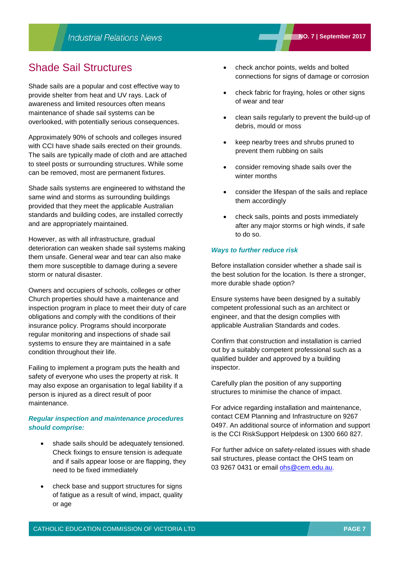## Shade Sail Structures

Shade sails are a popular and cost effective way to provide shelter from heat and UV rays. Lack of awareness and limited resources often means maintenance of shade sail systems can be overlooked, with potentially serious consequences.

Approximately 90% of schools and colleges insured with CCI have shade sails erected on their grounds. The sails are typically made of cloth and are attached to steel posts or surrounding structures. While some can be removed, most are permanent fixtures.

Shade sails systems are engineered to withstand the same wind and storms as surrounding buildings provided that they meet the applicable Australian standards and building codes, are installed correctly and are appropriately maintained.

However, as with all infrastructure, gradual deterioration can weaken shade sail systems making them unsafe. General wear and tear can also make them more susceptible to damage during a severe storm or natural disaster.

Owners and occupiers of schools, colleges or other Church properties should have a maintenance and inspection program in place to meet their duty of care obligations and comply with the conditions of their insurance policy. Programs should incorporate regular monitoring and inspections of shade sail systems to ensure they are maintained in a safe condition throughout their life.

Failing to implement a program puts the health and safety of everyone who uses the property at risk. It may also expose an organisation to legal liability if a person is injured as a direct result of poor maintenance.

#### *Regular inspection and maintenance procedures should comprise:*

- shade sails should be adequately tensioned. Check fixings to ensure tension is adequate and if sails appear loose or are flapping, they need to be fixed immediately
- check base and support structures for signs of fatigue as a result of wind, impact, quality or age
- check anchor points, welds and bolted connections for signs of damage or corrosion
- check fabric for fraying, holes or other signs of wear and tear
- clean sails regularly to prevent the build-up of debris, mould or moss
- keep nearby trees and shrubs pruned to prevent them rubbing on sails
- consider removing shade sails over the winter months
- consider the lifespan of the sails and replace them accordingly
- check sails, points and posts immediately after any major storms or high winds, if safe to do so.

#### *Ways to further reduce risk*

Before installation consider whether a shade sail is the best solution for the location. Is there a stronger, more durable shade option?

Ensure systems have been designed by a suitably competent professional such as an architect or engineer, and that the design complies with applicable Australian Standards and codes.

Confirm that construction and installation is carried out by a suitably competent professional such as a qualified builder and approved by a building inspector.

Carefully plan the position of any supporting structures to minimise the chance of impact.

For advice regarding installation and maintenance, contact CEM Planning and Infrastructure on 9267 0497. An additional source of information and support is the CCI RiskSupport Helpdesk on 1300 660 827.

For further advice on safety-related issues with shade sail structures, please contact the OHS team on 03 9267 0431 or email [ohs@cem.edu.au.](mailto:ohs@cem.edu.au)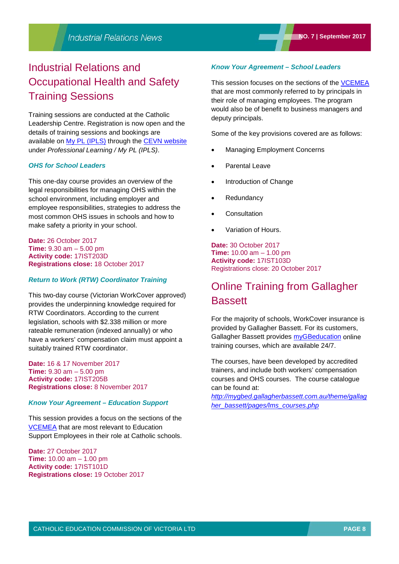## Industrial Relations and Occupational Health and Safety Training Sessions

Training sessions are conducted at the Catholic Leadership Centre. Registration is now open and the details of training sessions and bookings are available on [My PL \(IPLS\)](http://cevn.cecv.catholic.edu.au/ProfessionalLearning.aspx?id=7160) through the [CEVN website](http://cevn.cecv.catholic.edu.au/cevnlogin.aspx) under *Professional Learning / My PL (IPLS)*.

### *OHS for School Leaders*

This one-day course provides an overview of the legal responsibilities for managing OHS within the school environment, including employer and employee responsibilities, strategies to address the most common OHS issues in schools and how to make safety a priority in your school.

**Date:** 26 October 2017 **Time:** 9.30 am – 5.00 pm **Activity code:** 17IST203D **Registrations close:** 18 October 2017

#### *Return to Work (RTW) Coordinator Training*

This two-day course (Victorian WorkCover approved) provides the underpinning knowledge required for RTW Coordinators. According to the current legislation, schools with \$2.338 million or more rateable remuneration (indexed annually) or who have a workers' compensation claim must appoint a suitably trained RTW coordinator.

**Date:** 16 & 17 November 2017 **Time:** 9.30 am – 5.00 pm **Activity code:** 17IST205B **Registrations close:** 8 November 2017

#### *Know Your Agreement – Education Support*

This session provides a focus on the sections of the [VCEMEA](http://www.cecv.catholic.edu.au/getmedia/e728ccbb-dac1-4822-9607-7c5cb8abdae9/VCEMEA_2013.aspx) that are most relevant to Education Support Employees in their role at Catholic schools.

**Date:** 27 October 2017 **Time:** 10.00 am – 1.00 pm **Activity code:** 17IST101D **Registrations close:** 19 October 2017

#### *Know Your Agreement – School Leaders*

This session focuses on the sections of the [VCEMEA](http://www.cecv.catholic.edu.au/getmedia/e728ccbb-dac1-4822-9607-7c5cb8abdae9/VCEMEA_2013.aspx) that are most commonly referred to by principals in their role of managing employees. The program would also be of benefit to business managers and deputy principals.

Some of the key provisions covered are as follows:

- Managing Employment Concerns
- Parental Leave
- Introduction of Change
- **Redundancy**
- **Consultation**
- Variation of Hours.

**Date:** 30 October 2017 **Time:** 10.00 am – 1.00 pm **Activity code:** 17IST103D Registrations close: 20 October 2017

## Online Training from Gallagher **Bassett**

For the majority of schools, WorkCover insurance is provided by Gallagher Bassett. For its customers, Gallagher Bassett provides **[myGBeducation](https://mygbed.gallagherbassett.com.au/login/index.php)** online training courses, which are available 24/7.

The courses, have been developed by accredited trainers, and include both workers' compensation courses and OHS courses. The course catalogue can be found at:

*[http://mygbed.gallagherbassett.com.au/theme/gallag](http://mygbed.gallagherbassett.com.au/theme/gallagher_bassett/pages/lms_courses.php) [her\\_bassett/pages/lms\\_courses.php](http://mygbed.gallagherbassett.com.au/theme/gallagher_bassett/pages/lms_courses.php)*